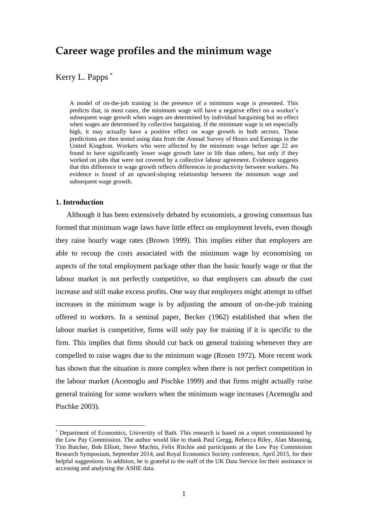# **Career wage profiles and the minimum wage**

# Kerry L. Papps \*

A model of on-the-job training in the presence of a minimum wage is presented. This predicts that, in most cases, the minimum wage will have a negative effect on a worker's subsequent wage growth when wages are determined by individual bargaining but no effect when wages are determined by collective bargaining. If the minimum wage is set especially high, it may actually have a positive effect on wage growth in both sectors. These predictions are then tested using data from the Annual Survey of Hours and Earnings in the United Kingdom. Workers who were affected by the minimum wage before age 22 are found to have significantly lower wage growth later in life than others, but only if they worked on jobs that were not covered by a collective labour agreement. Evidence suggests that this difference in wage growth reflects differences in productivity between workers. No evidence is found of an upward-sloping relationship between the minimum wage and subsequent wage growth.

## **1. Introduction**

1

Although it has been extensively debated by economists, a growing consensus has formed that minimum wage laws have little effect on employment levels, even though they raise hourly wage rates (Brown 1999). This implies either that employers are able to recoup the costs associated with the minimum wage by economising on aspects of the total employment package other than the basic hourly wage or that the labour market is not perfectly competitive, so that employers can absorb the cost increase and still make excess profits. One way that employers might attempt to offset increases in the minimum wage is by adjusting the amount of on-the-job training offered to workers. In a seminal paper, Becker (1962) established that when the labour market is competitive, firms will only pay for training if it is specific to the firm. This implies that firms should cut back on general training whenever they are compelled to raise wages due to the minimum wage (Rosen 1972). More recent work has shown that the situation is more complex when there is not perfect competition in the labour market (Acemoglu and Pischke 1999) and that firms might actually *raise* general training for some workers when the minimum wage increases (Acemoglu and Pischke 2003).

<sup>\*</sup> Department of Economics, University of Bath. This research is based on a report commissioned by the Low Pay Commission. The author would like to thank Paul Gregg, Rebecca Riley, Alan Manning, Tim Butcher, Bob Elliott, Steve Machin, Felix Ritchie and participants at the Low Pay Commission Research Symposium, September 2014, and Royal Economics Society conference, April 2015, for their helpful suggestions. In addition, he is grateful to the staff of the UK Data Service for their assistance in accessing and analysing the ASHE data.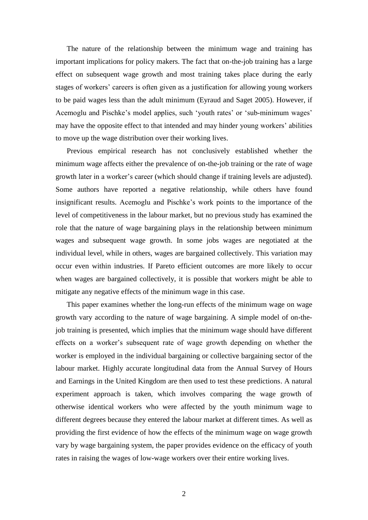The nature of the relationship between the minimum wage and training has important implications for policy makers. The fact that on-the-job training has a large effect on subsequent wage growth and most training takes place during the early stages of workers' careers is often given as a justification for allowing young workers to be paid wages less than the adult minimum (Eyraud and Saget 2005). However, if Acemoglu and Pischke's model applies, such 'youth rates' or 'sub-minimum wages' may have the opposite effect to that intended and may hinder young workers' abilities to move up the wage distribution over their working lives.

Previous empirical research has not conclusively established whether the minimum wage affects either the prevalence of on-the-job training or the rate of wage growth later in a worker's career (which should change if training levels are adjusted). Some authors have reported a negative relationship, while others have found insignificant results. Acemoglu and Pischke's work points to the importance of the level of competitiveness in the labour market, but no previous study has examined the role that the nature of wage bargaining plays in the relationship between minimum wages and subsequent wage growth. In some jobs wages are negotiated at the individual level, while in others, wages are bargained collectively. This variation may occur even within industries. If Pareto efficient outcomes are more likely to occur when wages are bargained collectively, it is possible that workers might be able to mitigate any negative effects of the minimum wage in this case.

This paper examines whether the long-run effects of the minimum wage on wage growth vary according to the nature of wage bargaining. A simple model of on-thejob training is presented, which implies that the minimum wage should have different effects on a worker's subsequent rate of wage growth depending on whether the worker is employed in the individual bargaining or collective bargaining sector of the labour market. Highly accurate longitudinal data from the Annual Survey of Hours and Earnings in the United Kingdom are then used to test these predictions. A natural experiment approach is taken, which involves comparing the wage growth of otherwise identical workers who were affected by the youth minimum wage to different degrees because they entered the labour market at different times. As well as providing the first evidence of how the effects of the minimum wage on wage growth vary by wage bargaining system, the paper provides evidence on the efficacy of youth rates in raising the wages of low-wage workers over their entire working lives.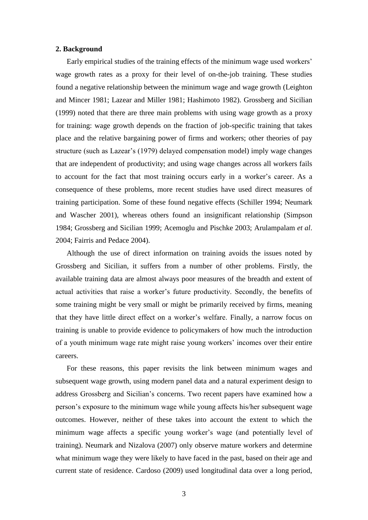#### **2. Background**

Early empirical studies of the training effects of the minimum wage used workers' wage growth rates as a proxy for their level of on-the-job training. These studies found a negative relationship between the minimum wage and wage growth (Leighton and Mincer 1981; Lazear and Miller 1981; Hashimoto 1982). Grossberg and Sicilian (1999) noted that there are three main problems with using wage growth as a proxy for training: wage growth depends on the fraction of job-specific training that takes place and the relative bargaining power of firms and workers; other theories of pay structure (such as Lazear's (1979) delayed compensation model) imply wage changes that are independent of productivity; and using wage changes across all workers fails to account for the fact that most training occurs early in a worker's career. As a consequence of these problems, more recent studies have used direct measures of training participation. Some of these found negative effects (Schiller 1994; Neumark and Wascher 2001), whereas others found an insignificant relationship (Simpson 1984; Grossberg and Sicilian 1999; Acemoglu and Pischke 2003; Arulampalam *et al*. 2004; Fairris and Pedace 2004).

Although the use of direct information on training avoids the issues noted by Grossberg and Sicilian, it suffers from a number of other problems. Firstly, the available training data are almost always poor measures of the breadth and extent of actual activities that raise a worker's future productivity. Secondly, the benefits of some training might be very small or might be primarily received by firms, meaning that they have little direct effect on a worker's welfare. Finally, a narrow focus on training is unable to provide evidence to policymakers of how much the introduction of a youth minimum wage rate might raise young workers' incomes over their entire careers.

For these reasons, this paper revisits the link between minimum wages and subsequent wage growth, using modern panel data and a natural experiment design to address Grossberg and Sicilian's concerns. Two recent papers have examined how a person's exposure to the minimum wage while young affects his/her subsequent wage outcomes. However, neither of these takes into account the extent to which the minimum wage affects a specific young worker's wage (and potentially level of training). Neumark and Nizalova (2007) only observe mature workers and determine what minimum wage they were likely to have faced in the past, based on their age and current state of residence. Cardoso (2009) used longitudinal data over a long period,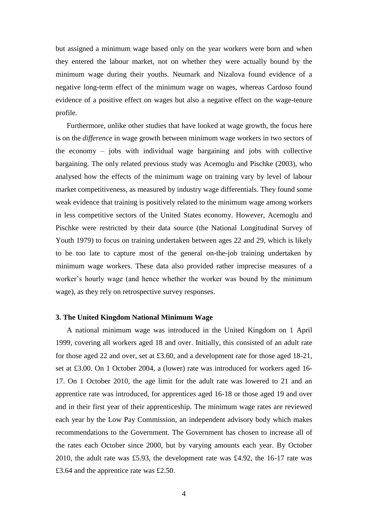but assigned a minimum wage based only on the year workers were born and when they entered the labour market, not on whether they were actually bound by the minimum wage during their youths. Neumark and Nizalova found evidence of a negative long-term effect of the minimum wage on wages, whereas Cardoso found evidence of a positive effect on wages but also a negative effect on the wage-tenure profile.

Furthermore, unlike other studies that have looked at wage growth, the focus here is on the *difference* in wage growth between minimum wage workers in two sectors of the economy – jobs with individual wage bargaining and jobs with collective bargaining. The only related previous study was Acemoglu and Pischke (2003), who analysed how the effects of the minimum wage on training vary by level of labour market competitiveness, as measured by industry wage differentials. They found some weak evidence that training is positively related to the minimum wage among workers in less competitive sectors of the United States economy. However, Acemoglu and Pischke were restricted by their data source (the National Longitudinal Survey of Youth 1979) to focus on training undertaken between ages 22 and 29, which is likely to be too late to capture most of the general on-the-job training undertaken by minimum wage workers. These data also provided rather imprecise measures of a worker's hourly wage (and hence whether the worker was bound by the minimum wage), as they rely on retrospective survey responses.

#### **3. The United Kingdom National Minimum Wage**

A national minimum wage was introduced in the United Kingdom on 1 April 1999, covering all workers aged 18 and over. Initially, this consisted of an adult rate for those aged 22 and over, set at £3.60, and a development rate for those aged 18-21, set at £3.00. On 1 October 2004, a (lower) rate was introduced for workers aged 16- 17. On 1 October 2010, the age limit for the adult rate was lowered to 21 and an apprentice rate was introduced, for apprentices aged 16-18 or those aged 19 and over and in their first year of their apprenticeship. The minimum wage rates are reviewed each year by the Low Pay Commission, an independent advisory body which makes recommendations to the Government. The Government has chosen to increase all of the rates each October since 2000, but by varying amounts each year. By October 2010, the adult rate was £5.93, the development rate was £4.92, the 16-17 rate was £3.64 and the apprentice rate was £2.50.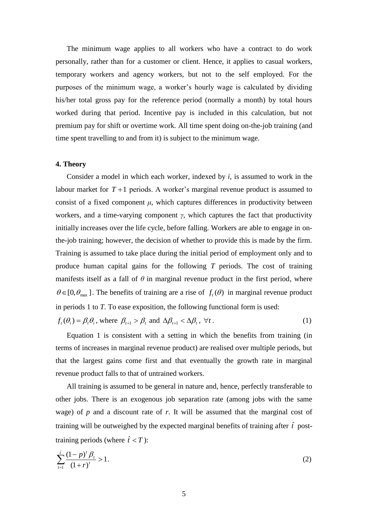The minimum wage applies to all workers who have a contract to do work personally, rather than for a customer or client. Hence, it applies to casual workers, temporary workers and agency workers, but not to the self employed. For the purposes of the minimum wage, a worker's hourly wage is calculated by dividing his/her total gross pay for the reference period (normally a month) by total hours worked during that period. Incentive pay is included in this calculation, but not premium pay for shift or overtime work. All time spent doing on-the-job training (and time spent travelling to and from it) is subject to the minimum wage.

#### **4. Theory**

Consider a model in which each worker, indexed by *i*, is assumed to work in the labour market for  $T+1$  periods. A worker's marginal revenue product is assumed to consist of a fixed component  $\mu$ , which captures differences in productivity between workers, and a time-varying component *γ*, which captures the fact that productivity initially increases over the life cycle, before falling. Workers are able to engage in onthe-job training; however, the decision of whether to provide this is made by the firm. Training is assumed to take place during the initial period of employment only and to produce human capital gains for the following *T* periods. The cost of training manifests itself as a fall of  $\theta$  in marginal revenue product in the first period, where  $\theta \in [0, \theta_{\text{max}}]$ . The benefits of training are a rise of  $f_t(\theta)$  in marginal revenue product in periods 1 to *T*. To ease exposition, the following functional form is used:

 $f_t(\theta_i) = \beta_t \theta_i$ , where  $\beta_{t+1} > \beta_t$  and  $\Delta \beta_{t+1} < \Delta \beta_t$ ,  $\forall t$ . (1)

Equation 1 is consistent with a setting in which the benefits from training (in terms of increases in marginal revenue product) are realised over multiple periods, but that the largest gains come first and that eventually the growth rate in marginal revenue product falls to that of untrained workers.

All training is assumed to be general in nature and, hence, perfectly transferable to other jobs. There is an exogenous job separation rate (among jobs with the same wage) of *p* and a discount rate of *r*. It will be assumed that the marginal cost of training will be outweighed by the expected marginal benefits of training after  $\hat{t}$  posttraining periods (where  $\hat{t} < T$ ):

$$
\sum_{t=1}^{\hat{t}} \frac{(1-p)^t \beta_t}{(1+r)^t} > 1.
$$
\n(2)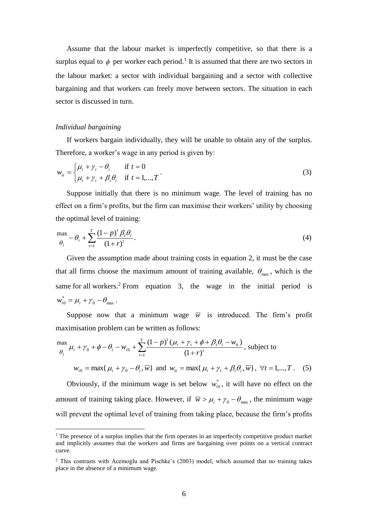Assume that the labour market is imperfectly competitive, so that there is a surplus equal to  $\phi$  per worker each period.<sup>1</sup> It is assumed that there are two sectors in the labour market: a sector with individual bargaining and a sector with collective bargaining and that workers can freely move between sectors. The situation in each sector is discussed in turn.

### *Individual bargaining*

<u>.</u>

If workers bargain individually, they will be unable to obtain any of the surplus. Therefore, a worker's wage in any period is given by:

$$
w_{it} = \begin{cases} \mu_i + \gamma_t - \theta_i & \text{if } t = 0\\ \mu_i + \gamma_t + \beta_t \theta_i & \text{if } t = 1, ..., T \end{cases}
$$
 (3)

Suppose initially that there is no minimum wage. The level of training has no effect on a firm's profits, but the firm can maximise their workers' utility by choosing the optimal level of training:

$$
\max_{\theta_i} -\theta_i + \sum_{t=1}^T \frac{(1-p)^t \beta_t \theta_i}{(1+r)^t}.
$$
\n(4)

Given the assumption made about training costs in equation 2, it must be the case that all firms choose the maximum amount of training available,  $\theta_{\text{max}}$ , which is the same for all workers.<sup>2</sup> From equation 3, the wage in the initial period is  $_{0} - \nu_{\rm max}$  $w_{i0}^* = \mu_i + \gamma_0 - \theta_{\text{max}}$ .

Suppose now that a minimum wage  $\overline{w}$  is introduced. The firm's profit maximisation problem can be written as follows:

$$
\frac{\max}{\theta_i} \mu_i + \gamma_0 + \phi - \theta_i - w_{i0} + \sum_{t=1}^T \frac{(1-p)^t (\mu_i + \gamma_t + \phi + \beta_t \theta_i - w_{it})}{(1+r)^t}, \text{ subject to}
$$

 $w_{i0} = \max\{ \mu_i + \gamma_0 - \theta_i, \overline{w} \}$  and  $w_{it} = \max\{ \mu_i + \gamma_t + \beta_t \theta_i, \overline{w} \}, \forall t = 1, ..., T$ . (5) Obviously, if the minimum wage is set below  $w_{i0}^*$ , it will have no effect on the

amount of training taking place. However, if  $\overline{w} > \mu_i + \gamma_0 - \theta_{\text{max}}$ , the minimum wage will prevent the optimal level of training from taking place, because the firm's profits

 $1$ . The presence of a surplus implies that the firm operates in an imperfectly competitive product market and implicitly assumes that the workers and firms are bargaining over points on a vertical contract curve.

<sup>2</sup> This contrasts with Acemoglu and Pischke's (2003) model, which assumed that no training takes place in the absence of a minimum wage.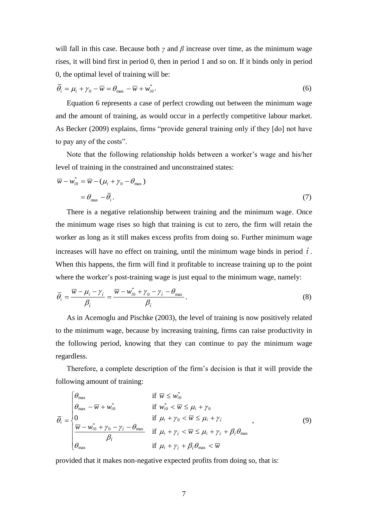will fall in this case. Because both *γ* and *β* increase over time, as the minimum wage rises, it will bind first in period 0, then in period 1 and so on. If it binds only in period 0, the optimal level of training will be:

$$
\overline{\theta}_i = \mu_i + \gamma_0 - \overline{w} = \theta_{\text{max}} - \overline{w} + w_{i0}^*.
$$
\n<sup>(6)</sup>

Equation 6 represents a case of perfect crowding out between the minimum wage and the amount of training, as would occur in a perfectly competitive labour market. As Becker (2009) explains, firms "provide general training only if they [do] not have to pay any of the costs".

Note that the following relationship holds between a worker's wage and his/her level of training in the constrained and unconstrained states:

$$
\overline{w} - w_{i0}^* = \overline{w} - (\mu_i + \gamma_0 - \theta_{\text{max}})
$$
  
=  $\theta_{\text{max}} - \overline{\theta}_i$ . (7)

There is a negative relationship between training and the minimum wage. Once the minimum wage rises so high that training is cut to zero, the firm will retain the worker as long as it still makes excess profits from doing so. Further minimum wage increases will have no effect on training, until the minimum wage binds in period  $\hat{t}$ . When this happens, the firm will find it profitable to increase training up to the point where the worker's post-training wage is just equal to the minimum wage, namely:

$$
\overline{\theta}_{i} = \frac{\overline{w} - \mu_{i} - \gamma_{\hat{i}}}{\beta_{\hat{i}}} = \frac{\overline{w} - w_{i0}^{*} + \gamma_{0} - \gamma_{\hat{i}} - \theta_{\text{max}}}{\beta_{\hat{i}}}.
$$
\n(8)

As in Acemoglu and Pischke (2003), the level of training is now positively related to the minimum wage, because by increasing training, firms can raise productivity in the following period, knowing that they can continue to pay the minimum wage regardless.

Therefore, a complete description of the firm's decision is that it will provide the following amount of training:

$$
\overline{\theta}_{i} = \begin{cases}\n\theta_{\text{max}} & \text{if } \overline{w} \leq w_{i0}^* \\
\theta_{\text{max}} - \overline{w} + w_{i0}^* & \text{if } w_{i0}^* < \overline{w} \leq \mu_{i} + \gamma_{0} \\
0 & \text{if } \mu_{i} + \gamma_{0} < \overline{w} \leq \mu_{i} + \gamma_{i} \\
\frac{\overline{w} - w_{i0}^* + \gamma_{0} - \gamma_{i} - \theta_{\text{max}}}{\beta_{i}} & \text{if } \mu_{i} + \gamma_{i} < \overline{w} \leq \mu_{i} + \gamma_{i} + \beta_{i} \theta_{\text{max}} \\
\theta_{\text{max}} & \text{if } \mu_{i} + \gamma_{i} + \beta_{i} \theta_{\text{max}} < \overline{w}\n\end{cases}
$$
\n
$$
(9)
$$

provided that it makes non-negative expected profits from doing so, that is: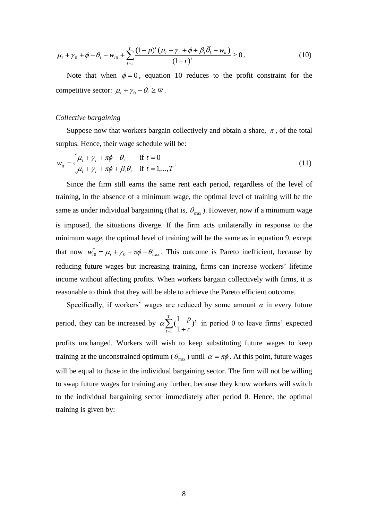$$
\mu_{i} + \gamma_{0} + \phi - \overline{\theta}_{i} - w_{i0} + \sum_{t=1}^{T} \frac{(1-p)^{t} (\mu_{i} + \gamma_{t} + \phi + \beta_{t} \overline{\theta}_{i} - w_{it})}{(1+r)^{t}} \ge 0.
$$
\n(10)

Note that when  $\phi = 0$ , equation 10 reduces to the profit constraint for the competitive sector:  $\mu_i + \gamma_0 - \theta_i \geq \overline{w}$ .

#### *Collective bargaining*

Suppose now that workers bargain collectively and obtain a share,  $\pi$ , of the total surplus. Hence, their wage schedule will be:

$$
w_{it} = \begin{cases} \mu_i + \gamma_t + \pi \phi - \theta_i & \text{if } t = 0\\ \mu_i + \gamma_t + \pi \phi + \beta_t \theta_i & \text{if } t = 1, ..., T \end{cases}
$$
(11)

Since the firm still earns the same rent each period, regardless of the level of training, in the absence of a minimum wage, the optimal level of training will be the same as under individual bargaining (that is,  $\theta_{\text{max}}$ ). However, now if a minimum wage is imposed, the situations diverge. If the firm acts unilaterally in response to the minimum wage, the optimal level of training will be the same as in equation 9, except that now  $w_{i0}^* = \mu_i + \gamma_0 + \pi \phi - \theta_{max}$  $w_{i0}^* = \mu_i + \gamma_0 + \pi \phi - \theta_{max}$ . This outcome is Pareto inefficient, because by reducing future wages but increasing training, firms can increase workers' lifetime income without affecting profits. When workers bargain collectively with firms, it is reasonable to think that they will be able to achieve the Pareto efficient outcome.

Specifically, if workers' wages are reduced by some amount  $\alpha$  in every future period, they can be increased by  $\alpha \sum_{t=1}^{T} (\frac{1-t}{1+t})$ *t t r p* 1 ) 1  $\alpha \sum_{i=1}^{T} (\frac{1-p}{n})^i$  in period 0 to leave firms' expected profits unchanged. Workers will wish to keep substituting future wages to keep training at the unconstrained optimum ( $\theta_{\text{max}}$ ) until  $\alpha = \pi \phi$ . At this point, future wages will be equal to those in the individual bargaining sector. The firm will not be willing to swap future wages for training any further, because they know workers will switch to the individual bargaining sector immediately after period 0. Hence, the optimal training is given by: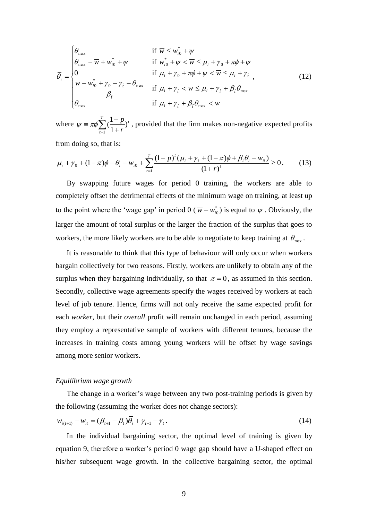$$
\overline{\theta}_{i} = \begin{cases}\n\theta_{\text{max}} & \text{if } \overline{w} \leq w_{i0}^{*} + \psi \\
\theta_{\text{max}} - \overline{w} + w_{i0}^{*} + \psi & \text{if } w_{i0}^{*} + \psi < \overline{w} \leq \mu_{i} + \gamma_{0} + \pi\phi + \psi \\
0 & \text{if } \mu_{i} + \gamma_{0} + \pi\phi + \psi < \overline{w} \leq \mu_{i} + \gamma_{i} \\
\frac{\overline{w} - w_{i0}^{*} + \gamma_{0} - \gamma_{i} - \theta_{\text{max}}}{\beta_{i}} & \text{if } \mu_{i} + \gamma_{i} < \overline{w} \leq \mu_{i} + \gamma_{i} + \beta_{i}\theta_{\text{max}} \\
\theta_{\text{max}} & \text{if } \mu_{i} + \gamma_{i} + \beta_{i}\theta_{\text{max}} < \overline{w}\n\end{cases}
$$
\n(12)

where  $\psi = \pi \phi \sum_{t=1}^{T} \left( \frac{1 - \mu}{1 + \mu} \right)$ *t t r p* 1 ) 1  $\psi = \pi \phi \sum_{i=1}^{T} (\frac{1-p}{n})^i$ , provided that the firm makes non-negative expected profits

from doing so, that is:

$$
\mu_i + \gamma_0 + (1 - \pi)\phi - \overline{\theta}_i - w_{i0} + \sum_{t=1}^T \frac{(1 - p)^t (\mu_i + \gamma_t + (1 - \pi)\phi + \beta_t \overline{\theta}_i - w_{it})}{(1 + r)^t} \ge 0. \tag{13}
$$

By swapping future wages for period 0 training, the workers are able to completely offset the detrimental effects of the minimum wage on training, at least up to the point where the 'wage gap' in period  $0 \left( \overline{w} - w_{i0}^* \right)$  is equal to  $\psi$ . Obviously, the larger the amount of total surplus or the larger the fraction of the surplus that goes to workers, the more likely workers are to be able to negotiate to keep training at  $\theta_{\text{max}}$ .

It is reasonable to think that this type of behaviour will only occur when workers bargain collectively for two reasons. Firstly, workers are unlikely to obtain any of the surplus when they bargaining individually, so that  $\pi = 0$ , as assumed in this section. Secondly, collective wage agreements specify the wages received by workers at each level of job tenure. Hence, firms will not only receive the same expected profit for each *worker*, but their *overall* profit will remain unchanged in each period, assuming they employ a representative sample of workers with different tenures, because the increases in training costs among young workers will be offset by wage savings among more senior workers.

#### *Equilibrium wage growth*

The change in a worker's wage between any two post-training periods is given by the following (assuming the worker does not change sectors):

$$
w_{i(t+1)} - w_{it} = (\beta_{t+1} - \beta_t)\overline{\theta}_i + \gamma_{t+1} - \gamma_t.
$$
\n(14)

In the individual bargaining sector, the optimal level of training is given by equation 9, therefore a worker's period 0 wage gap should have a U-shaped effect on his/her subsequent wage growth. In the collective bargaining sector, the optimal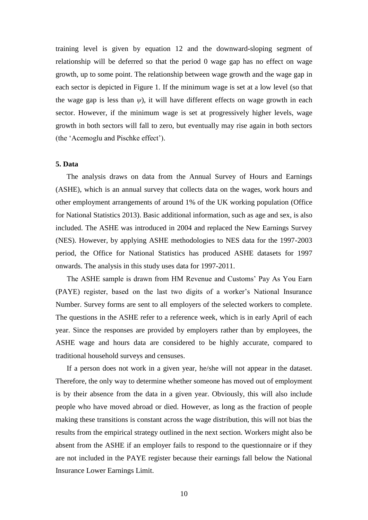training level is given by equation 12 and the downward-sloping segment of relationship will be deferred so that the period 0 wage gap has no effect on wage growth, up to some point. The relationship between wage growth and the wage gap in each sector is depicted in Figure 1. If the minimum wage is set at a low level (so that the wage gap is less than  $\psi$ ), it will have different effects on wage growth in each sector. However, if the minimum wage is set at progressively higher levels, wage growth in both sectors will fall to zero, but eventually may rise again in both sectors (the 'Acemoglu and Pischke effect').

#### **5. Data**

The analysis draws on data from the Annual Survey of Hours and Earnings (ASHE), which is an annual survey that collects data on the wages, work hours and other employment arrangements of around 1% of the UK working population (Office for National Statistics 2013). Basic additional information, such as age and sex, is also included. The ASHE was introduced in 2004 and replaced the New Earnings Survey (NES). However, by applying ASHE methodologies to NES data for the 1997-2003 period, the Office for National Statistics has produced ASHE datasets for 1997 onwards. The analysis in this study uses data for 1997-2011.

The ASHE sample is drawn from HM Revenue and Customs' Pay As You Earn (PAYE) register, based on the last two digits of a worker's National Insurance Number. Survey forms are sent to all employers of the selected workers to complete. The questions in the ASHE refer to a reference week, which is in early April of each year. Since the responses are provided by employers rather than by employees, the ASHE wage and hours data are considered to be highly accurate, compared to traditional household surveys and censuses.

If a person does not work in a given year, he/she will not appear in the dataset. Therefore, the only way to determine whether someone has moved out of employment is by their absence from the data in a given year. Obviously, this will also include people who have moved abroad or died. However, as long as the fraction of people making these transitions is constant across the wage distribution, this will not bias the results from the empirical strategy outlined in the next section. Workers might also be absent from the ASHE if an employer fails to respond to the questionnaire or if they are not included in the PAYE register because their earnings fall below the National Insurance Lower Earnings Limit.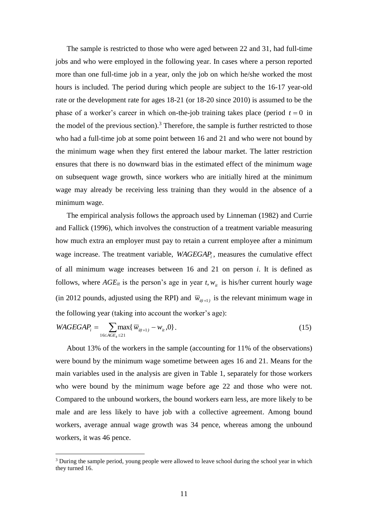The sample is restricted to those who were aged between 22 and 31, had full-time jobs and who were employed in the following year. In cases where a person reported more than one full-time job in a year, only the job on which he/she worked the most hours is included. The period during which people are subject to the 16-17 year-old rate or the development rate for ages 18-21 (or 18-20 since 2010) is assumed to be the phase of a worker's career in which on-the-job training takes place (period  $t = 0$  in the model of the previous section).<sup>3</sup> Therefore, the sample is further restricted to those who had a full-time job at some point between 16 and 21 and who were not bound by the minimum wage when they first entered the labour market. The latter restriction ensures that there is no downward bias in the estimated effect of the minimum wage on subsequent wage growth, since workers who are initially hired at the minimum wage may already be receiving less training than they would in the absence of a minimum wage.

The empirical analysis follows the approach used by Linneman (1982) and Currie and Fallick (1996), which involves the construction of a treatment variable measuring how much extra an employer must pay to retain a current employee after a minimum wage increase. The treatment variable, *WAGEGAP<sub>i</sub>*, measures the cumulative effect of all minimum wage increases between 16 and 21 on person *i*. It is defined as follows, where  $AGE_{it}$  is the person's age in year  $t, w_{it}$  is his/her current hourly wage (in 2012 pounds, adjusted using the RPI) and  $\overline{w}_{i(t+1)}$  is the relevant minimum wage in the following year (taking into account the worker's age):

$$
WAGEGAP_i = \sum_{16 \le AGE_i \le 21} \max\{\,\overline{w}_{i(t+1)} - w_{it}, 0\} \,. \tag{15}
$$

About 13% of the workers in the sample (accounting for 11% of the observations) were bound by the minimum wage sometime between ages 16 and 21. Means for the main variables used in the analysis are given in Table 1, separately for those workers who were bound by the minimum wage before age 22 and those who were not. Compared to the unbound workers, the bound workers earn less, are more likely to be male and are less likely to have job with a collective agreement. Among bound workers, average annual wage growth was 34 pence, whereas among the unbound workers, it was 46 pence.

<u>.</u>

<sup>&</sup>lt;sup>3</sup> During the sample period, young people were allowed to leave school during the school year in which they turned 16.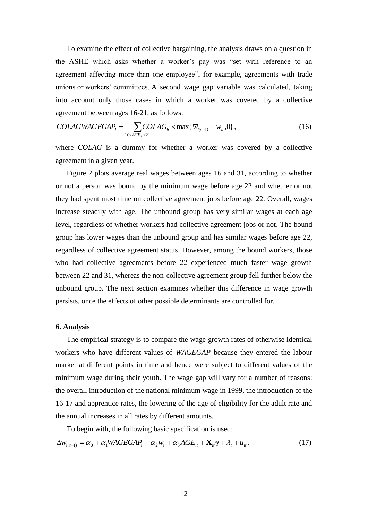To examine the effect of collective bargaining, the analysis draws on a question in the ASHE which asks whether a worker's pay was "set with reference to an agreement affecting more than one employee", for example, agreements with trade unions or workers' committees. A second wage gap variable was calculated, taking into account only those cases in which a worker was covered by a collective agreement between ages 16-21, as follows:

$$
COLAGWAGEGAP_i = \sum_{16 \le AGE_i \le 21} COLAG_{it} \times \max{\{\overline{w}_{i(t+1)} - w_{it}, 0\}},
$$
\n(16)

where *COLAG* is a dummy for whether a worker was covered by a collective agreement in a given year.

Figure 2 plots average real wages between ages 16 and 31, according to whether or not a person was bound by the minimum wage before age 22 and whether or not they had spent most time on collective agreement jobs before age 22. Overall, wages increase steadily with age. The unbound group has very similar wages at each age level, regardless of whether workers had collective agreement jobs or not. The bound group has lower wages than the unbound group and has similar wages before age 22, regardless of collective agreement status. However, among the bound workers, those who had collective agreements before 22 experienced much faster wage growth between 22 and 31, whereas the non-collective agreement group fell further below the unbound group. The next section examines whether this difference in wage growth persists, once the effects of other possible determinants are controlled for.

#### **6. Analysis**

The empirical strategy is to compare the wage growth rates of otherwise identical workers who have different values of *WAGEGAP* because they entered the labour market at different points in time and hence were subject to different values of the minimum wage during their youth. The wage gap will vary for a number of reasons: the overall introduction of the national minimum wage in 1999, the introduction of the 16-17 and apprentice rates, the lowering of the age of eligibility for the adult rate and the annual increases in all rates by different amounts.

To begin with, the following basic specification is used:

$$
\Delta w_{i(t+1)} = \alpha_0 + \alpha_1 WAGEGAP_i + \alpha_2 w_i + \alpha_3 AGE_{it} + \mathbf{X}_{it} \gamma + \lambda_t + u_{it}. \qquad (17)
$$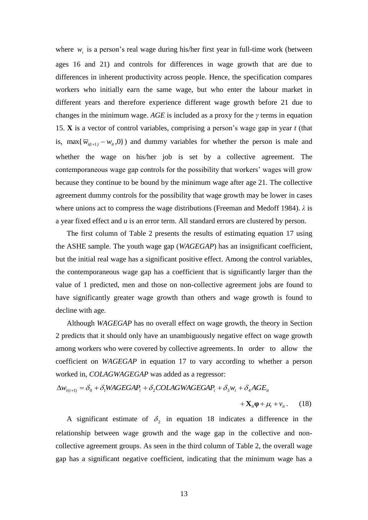where  $w_i$  is a person's real wage during his/her first year in full-time work (between ages 16 and 21) and controls for differences in wage growth that are due to differences in inherent productivity across people. Hence, the specification compares workers who initially earn the same wage, but who enter the labour market in different years and therefore experience different wage growth before 21 due to changes in the minimum wage. *AGE* is included as a proxy for the *γ* terms in equation 15. **X** is a vector of control variables, comprising a person's wage gap in year *t* (that is, max $\{\overline{w}_{i(t+1)} - w_i, 0\}$  and dummy variables for whether the person is male and whether the wage on his/her job is set by a collective agreement. The contemporaneous wage gap controls for the possibility that workers' wages will grow because they continue to be bound by the minimum wage after age 21. The collective agreement dummy controls for the possibility that wage growth may be lower in cases where unions act to compress the wage distributions (Freeman and Medoff 1984). *λ* is a year fixed effect and *u* is an error term. All standard errors are clustered by person.

The first column of Table 2 presents the results of estimating equation 17 using the ASHE sample. The youth wage gap (*WAGEGAP*) has an insignificant coefficient, but the initial real wage has a significant positive effect. Among the control variables, the contemporaneous wage gap has a coefficient that is significantly larger than the value of 1 predicted, men and those on non-collective agreement jobs are found to have significantly greater wage growth than others and wage growth is found to decline with age.

Although *WAGEGAP* has no overall effect on wage growth, the theory in Section 2 predicts that it should only have an unambiguously negative effect on wage growth among workers who were covered by collective agreements. In order to allow the coefficient on *WAGEGAP* in equation 17 to vary according to whether a person worked in, *COLAGWAGEGAP* was added as a regressor:

$$
\Delta w_{i(t+1)} = \delta_0 + \delta_1 WAGEGAP_i + \delta_2 COLAGWAGEGAP_i + \delta_3 w_i + \delta_4 AGE_{it}
$$
  
+
$$
\mathbf{X}_{it} \mathbf{\varphi} + \mu_t + v_{it}. \tag{18}
$$

A significant estimate of  $\delta_2$  in equation 18 indicates a difference in the relationship between wage growth and the wage gap in the collective and noncollective agreement groups. As seen in the third column of Table 2, the overall wage gap has a significant negative coefficient, indicating that the minimum wage has a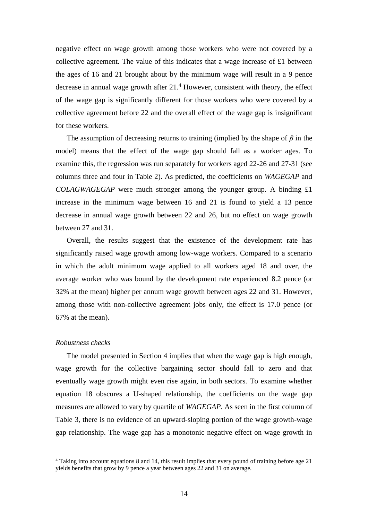negative effect on wage growth among those workers who were not covered by a collective agreement. The value of this indicates that a wage increase of £1 between the ages of 16 and 21 brought about by the minimum wage will result in a 9 pence decrease in annual wage growth after  $21<sup>4</sup>$  However, consistent with theory, the effect of the wage gap is significantly different for those workers who were covered by a collective agreement before 22 and the overall effect of the wage gap is insignificant for these workers.

The assumption of decreasing returns to training (implied by the shape of *β* in the model) means that the effect of the wage gap should fall as a worker ages. To examine this, the regression was run separately for workers aged 22-26 and 27-31 (see columns three and four in Table 2). As predicted, the coefficients on *WAGEGAP* and *COLAGWAGEGAP* were much stronger among the younger group. A binding £1 increase in the minimum wage between 16 and 21 is found to yield a 13 pence decrease in annual wage growth between 22 and 26, but no effect on wage growth between 27 and 31.

Overall, the results suggest that the existence of the development rate has significantly raised wage growth among low-wage workers. Compared to a scenario in which the adult minimum wage applied to all workers aged 18 and over, the average worker who was bound by the development rate experienced 8.2 pence (or 32% at the mean) higher per annum wage growth between ages 22 and 31. However, among those with non-collective agreement jobs only, the effect is 17.0 pence (or 67% at the mean).

#### *Robustness checks*

<u>.</u>

The model presented in Section 4 implies that when the wage gap is high enough, wage growth for the collective bargaining sector should fall to zero and that eventually wage growth might even rise again, in both sectors. To examine whether equation 18 obscures a U-shaped relationship, the coefficients on the wage gap measures are allowed to vary by quartile of *WAGEGAP*. As seen in the first column of Table 3, there is no evidence of an upward-sloping portion of the wage growth-wage gap relationship. The wage gap has a monotonic negative effect on wage growth in

<sup>4</sup> Taking into account equations 8 and 14, this result implies that every pound of training before age 21 yields benefits that grow by 9 pence a year between ages 22 and 31 on average.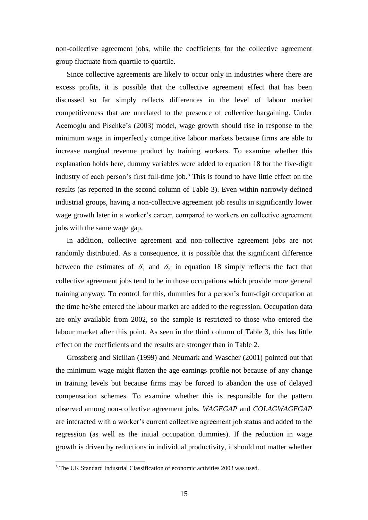non-collective agreement jobs, while the coefficients for the collective agreement group fluctuate from quartile to quartile.

Since collective agreements are likely to occur only in industries where there are excess profits, it is possible that the collective agreement effect that has been discussed so far simply reflects differences in the level of labour market competitiveness that are unrelated to the presence of collective bargaining. Under Acemoglu and Pischke's (2003) model, wage growth should rise in response to the minimum wage in imperfectly competitive labour markets because firms are able to increase marginal revenue product by training workers. To examine whether this explanation holds here, dummy variables were added to equation 18 for the five-digit industry of each person's first full-time job.<sup>5</sup> This is found to have little effect on the results (as reported in the second column of Table 3). Even within narrowly-defined industrial groups, having a non-collective agreement job results in significantly lower wage growth later in a worker's career, compared to workers on collective agreement jobs with the same wage gap.

In addition, collective agreement and non-collective agreement jobs are not randomly distributed. As a consequence, it is possible that the significant difference between the estimates of  $\delta_1$  and  $\delta_2$  in equation 18 simply reflects the fact that collective agreement jobs tend to be in those occupations which provide more general training anyway. To control for this, dummies for a person's four-digit occupation at the time he/she entered the labour market are added to the regression. Occupation data are only available from 2002, so the sample is restricted to those who entered the labour market after this point. As seen in the third column of Table 3, this has little effect on the coefficients and the results are stronger than in Table 2.

Grossberg and Sicilian (1999) and Neumark and Wascher (2001) pointed out that the minimum wage might flatten the age-earnings profile not because of any change in training levels but because firms may be forced to abandon the use of delayed compensation schemes. To examine whether this is responsible for the pattern observed among non-collective agreement jobs, *WAGEGAP* and *COLAGWAGEGAP* are interacted with a worker's current collective agreement job status and added to the regression (as well as the initial occupation dummies). If the reduction in wage growth is driven by reductions in individual productivity, it should not matter whether

1

<sup>&</sup>lt;sup>5</sup> The UK Standard Industrial Classification of economic activities 2003 was used.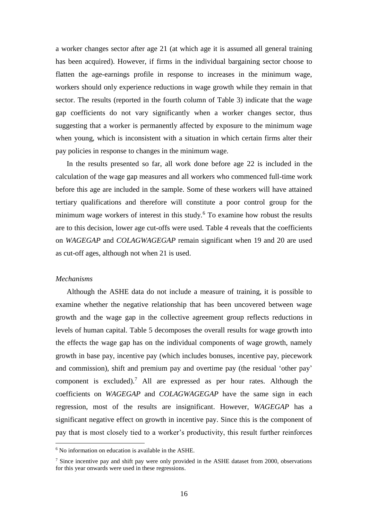a worker changes sector after age 21 (at which age it is assumed all general training has been acquired). However, if firms in the individual bargaining sector choose to flatten the age-earnings profile in response to increases in the minimum wage, workers should only experience reductions in wage growth while they remain in that sector. The results (reported in the fourth column of Table 3) indicate that the wage gap coefficients do not vary significantly when a worker changes sector, thus suggesting that a worker is permanently affected by exposure to the minimum wage when young, which is inconsistent with a situation in which certain firms alter their pay policies in response to changes in the minimum wage.

In the results presented so far, all work done before age 22 is included in the calculation of the wage gap measures and all workers who commenced full-time work before this age are included in the sample. Some of these workers will have attained tertiary qualifications and therefore will constitute a poor control group for the minimum wage workers of interest in this study.<sup>6</sup> To examine how robust the results are to this decision, lower age cut-offs were used. Table 4 reveals that the coefficients on *WAGEGAP* and *COLAGWAGEGAP* remain significant when 19 and 20 are used as cut-off ages, although not when 21 is used.

#### *Mechanisms*

<u>.</u>

Although the ASHE data do not include a measure of training, it is possible to examine whether the negative relationship that has been uncovered between wage growth and the wage gap in the collective agreement group reflects reductions in levels of human capital. Table 5 decomposes the overall results for wage growth into the effects the wage gap has on the individual components of wage growth, namely growth in base pay, incentive pay (which includes bonuses, incentive pay, piecework and commission), shift and premium pay and overtime pay (the residual 'other pay' component is excluded).<sup>7</sup> All are expressed as per hour rates. Although the coefficients on *WAGEGAP* and *COLAGWAGEGAP* have the same sign in each regression, most of the results are insignificant. However, *WAGEGAP* has a significant negative effect on growth in incentive pay. Since this is the component of pay that is most closely tied to a worker's productivity, this result further reinforces

<sup>&</sup>lt;sup>6</sup> No information on education is available in the ASHE.

<sup>&</sup>lt;sup>7</sup> Since incentive pay and shift pay were only provided in the ASHE dataset from 2000, observations for this year onwards were used in these regressions.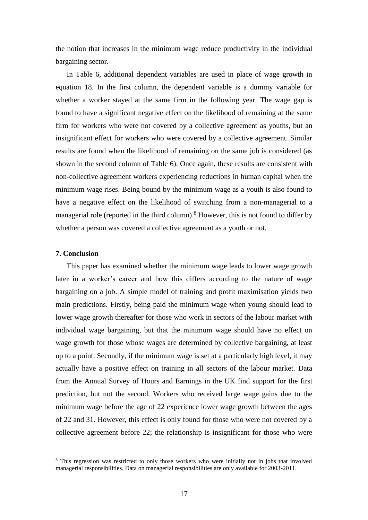the notion that increases in the minimum wage reduce productivity in the individual bargaining sector.

In Table 6, additional dependent variables are used in place of wage growth in equation 18. In the first column, the dependent variable is a dummy variable for whether a worker stayed at the same firm in the following year. The wage gap is found to have a significant negative effect on the likelihood of remaining at the same firm for workers who were not covered by a collective agreement as youths, but an insignificant effect for workers who were covered by a collective agreement. Similar results are found when the likelihood of remaining on the same job is considered (as shown in the second column of Table 6). Once again, these results are consistent with non-collective agreement workers experiencing reductions in human capital when the minimum wage rises. Being bound by the minimum wage as a youth is also found to have a negative effect on the likelihood of switching from a non-managerial to a managerial role (reported in the third column).<sup>8</sup> However, this is not found to differ by whether a person was covered a collective agreement as a youth or not.

### **7. Conclusion**

<u>.</u>

This paper has examined whether the minimum wage leads to lower wage growth later in a worker's career and how this differs according to the nature of wage bargaining on a job. A simple model of training and profit maximisation yields two main predictions. Firstly, being paid the minimum wage when young should lead to lower wage growth thereafter for those who work in sectors of the labour market with individual wage bargaining, but that the minimum wage should have no effect on wage growth for those whose wages are determined by collective bargaining, at least up to a point. Secondly, if the minimum wage is set at a particularly high level, it may actually have a positive effect on training in all sectors of the labour market. Data from the Annual Survey of Hours and Earnings in the UK find support for the first prediction, but not the second. Workers who received large wage gains due to the minimum wage before the age of 22 experience lower wage growth between the ages of 22 and 31. However, this effect is only found for those who were not covered by a collective agreement before 22; the relationship is insignificant for those who were

<sup>&</sup>lt;sup>8</sup> This regression was restricted to only those workers who were initially not in jobs that involved managerial responsibilities. Data on managerial responsibilities are only available for 2003-2011.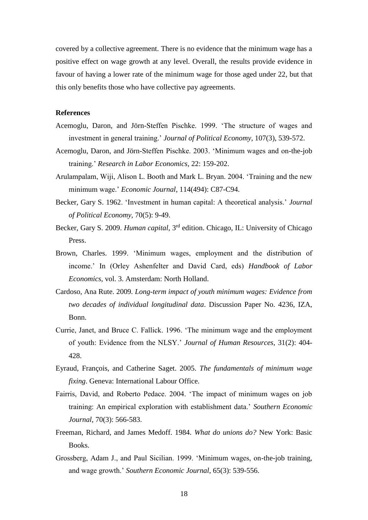covered by a collective agreement. There is no evidence that the minimum wage has a positive effect on wage growth at any level. Overall, the results provide evidence in favour of having a lower rate of the minimum wage for those aged under 22, but that this only benefits those who have collective pay agreements.

#### **References**

- Acemoglu, Daron, and Jörn-Steffen Pischke. 1999. 'The structure of wages and investment in general training.' *Journal of Political Economy*, 107(3), 539-572.
- Acemoglu, Daron, and Jörn-Steffen Pischke. 2003. 'Minimum wages and on-the-job training.' *Research in Labor Economics*, 22: 159-202.
- Arulampalam, Wiji, Alison L. Booth and Mark L. Bryan. 2004. 'Training and the new minimum wage.' *Economic Journal*, 114(494): C87-C94.
- Becker, Gary S. 1962. 'Investment in human capital: A theoretical analysis.' *Journal of Political Economy*, 70(5): 9-49.
- Becker, Gary S. 2009. *Human capital*, 3rd edition. Chicago, IL: University of Chicago Press.
- Brown, Charles. 1999. 'Minimum wages, employment and the distribution of income.' In (Orley Ashenfelter and David Card, eds) *Handbook of Labor Economics*, vol. 3. Amsterdam: North Holland.
- Cardoso, Ana Rute. 2009. *Long-term impact of youth minimum wages: Evidence from two decades of individual longitudinal data*. Discussion Paper No. 4236, IZA, Bonn.
- Currie, Janet, and Bruce C. Fallick. 1996. 'The minimum wage and the employment of youth: Evidence from the NLSY.' *Journal of Human Resources*, 31(2): 404- 428.
- Eyraud, François, and Catherine Saget. 2005. *The fundamentals of minimum wage fixing*. Geneva: International Labour Office.
- Fairris, David, and Roberto Pedace. 2004. 'The impact of minimum wages on job training: An empirical exploration with establishment data.' *Southern Economic Journal*, 70(3): 566-583.
- Freeman, Richard, and James Medoff. 1984. *What do unions do?* New York: Basic Books.
- Grossberg, Adam J., and Paul Sicilian. 1999. 'Minimum wages, on-the-job training, and wage growth.' *Southern Economic Journal*, 65(3): 539-556.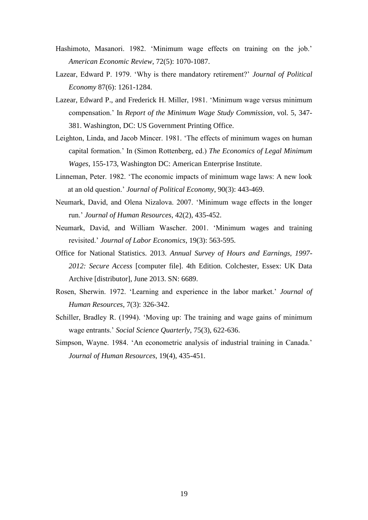- Hashimoto, Masanori. 1982. 'Minimum wage effects on training on the job.' *American Economic Review*, 72(5): 1070-1087.
- Lazear, Edward P. 1979. 'Why is there mandatory retirement?' *Journal of Political Economy* 87(6): 1261-1284.
- Lazear, Edward P., and Frederick H. Miller, 1981. 'Minimum wage versus minimum compensation.' In *Report of the Minimum Wage Study Commission*, vol. 5, 347- 381. Washington, DC: US Government Printing Office.
- Leighton, Linda, and Jacob Mincer. 1981. 'The effects of minimum wages on human capital formation.' In (Simon Rottenberg, ed.) *The Economics of Legal Minimum Wages*, 155-173, Washington DC: American Enterprise Institute.
- Linneman, Peter. 1982. 'The economic impacts of minimum wage laws: A new look at an old question.' *Journal of Political Economy*, 90(3): 443-469.
- Neumark, David, and Olena Nizalova. 2007. 'Minimum wage effects in the longer run.' *Journal of Human Resources*, 42(2), 435-452.
- Neumark, David, and William Wascher. 2001. 'Minimum wages and training revisited.' *Journal of Labor Economics*, 19(3): 563-595.
- Office for National Statistics. 2013. *Annual Survey of Hours and Earnings, 1997- 2012: Secure Access* [computer file]. 4th Edition. Colchester, Essex: UK Data Archive [distributor], June 2013. SN: 6689.
- Rosen, Sherwin. 1972. 'Learning and experience in the labor market.' *Journal of Human Resources*, 7(3): 326-342.
- Schiller, Bradley R. (1994). 'Moving up: The training and wage gains of minimum wage entrants.' *Social Science Quarterly*, 75(3), 622-636.
- Simpson, Wayne. 1984. 'An econometric analysis of industrial training in Canada.' *Journal of Human Resources*, 19(4), 435-451.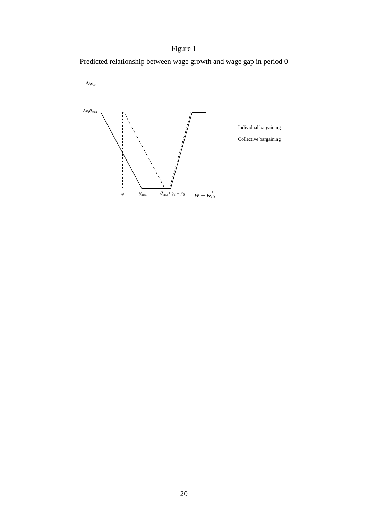# Figure 1



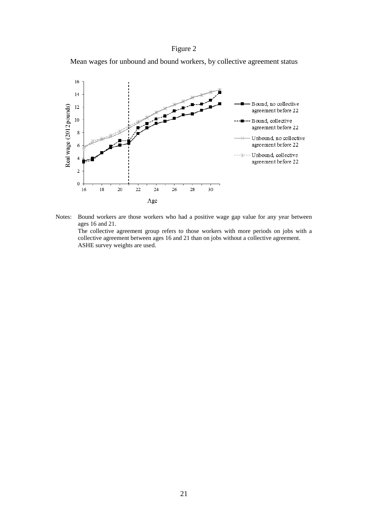### Figure 2

Mean wages for unbound and bound workers, by collective agreement status



Notes: Bound workers are those workers who had a positive wage gap value for any year between ages 16 and 21. The collective agreement group refers to those workers with more periods on jobs with a collective agreement between ages 16 and 21 than on jobs without a collective agreement. ASHE survey weights are used.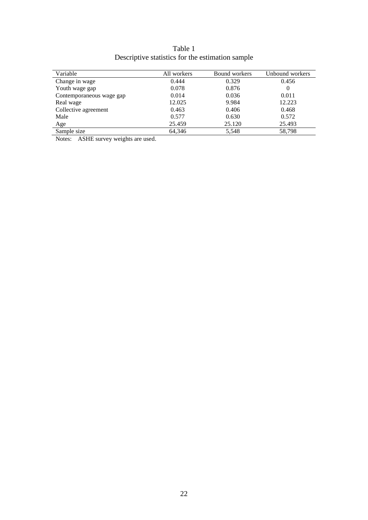| Table 1                                          |  |
|--------------------------------------------------|--|
| Descriptive statistics for the estimation sample |  |

| Variable                 | All workers | Bound workers | Unbound workers |
|--------------------------|-------------|---------------|-----------------|
| Change in wage           | 0.444       | 0.329         | 0.456           |
| Youth wage gap           | 0.078       | 0.876         | $\theta$        |
| Contemporaneous wage gap | 0.014       | 0.036         | 0.011           |
| Real wage                | 12.025      | 9.984         | 12.223          |
| Collective agreement     | 0.463       | 0.406         | 0.468           |
| Male                     | 0.577       | 0.630         | 0.572           |
| Age                      | 25.459      | 25.120        | 25.493          |
| Sample size              | 64.346      | 5,548         | 58,798          |

Notes: ASHE survey weights are used.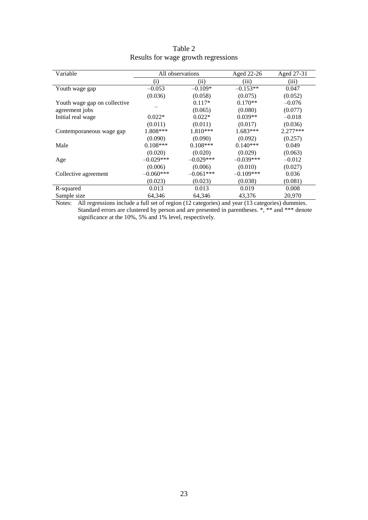| Variable                     | All observations  |             | Aged 22-26  | Aged 27-31 |
|------------------------------|-------------------|-------------|-------------|------------|
|                              | $\left( i\right)$ | (ii)        | (iii)       | (iii)      |
| Youth wage gap               | $-0.053$          | $-0.109*$   | $-0.153**$  | 0.047      |
|                              | (0.036)           | (0.058)     | (0.075)     | (0.052)    |
| Youth wage gap on collective |                   | $0.117*$    | $0.170**$   | $-0.076$   |
| agreement jobs               |                   | (0.065)     | (0.080)     | (0.077)    |
| Initial real wage            | $0.022*$          | $0.022*$    | $0.039**$   | $-0.018$   |
|                              | (0.011)           | (0.011)     | (0.017)     | (0.036)    |
| Contemporaneous wage gap     | 1.808***          | $1.810***$  | $1.683***$  | $2.277***$ |
|                              | (0.090)           | (0.090)     | (0.092)     | (0.257)    |
| Male                         | $0.108***$        | $0.108***$  | $0.140***$  | 0.049      |
|                              | (0.020)           | (0.020)     | (0.029)     | (0.063)    |
| Age                          | $-0.029***$       | $-0.029***$ | $-0.039***$ | $-0.012$   |
|                              | (0.006)           | (0.006)     | (0.010)     | (0.027)    |
| Collective agreement         | $-0.060***$       | $-0.061***$ | $-0.109***$ | 0.036      |
|                              | (0.023)           | (0.023)     | (0.038)     | (0.081)    |
| R-squared                    | 0.013             | 0.013       | 0.019       | 0.008      |
| Sample size                  | 64,346            | 64,346      | 43,376      | 20,970     |

| Table 2 |                                     |
|---------|-------------------------------------|
|         | Results for wage growth regressions |

Notes: All regressions include a full set of region (12 categories) and year (13 categories) dummies. Standard errors are clustered by person and are presented in parentheses. \*, \*\* and \*\*\* denote significance at the 10%, 5% and 1% level, respectively.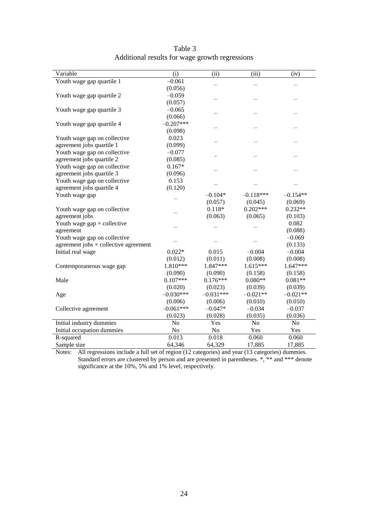| Variable                                         | (i)                | (ii)        | (iii)          | (iv)           |
|--------------------------------------------------|--------------------|-------------|----------------|----------------|
| Youth wage gap quartile 1                        | $-0.061$           |             |                |                |
|                                                  | (0.056)            |             |                |                |
| Youth wage gap quartile 2                        | $-0.059$           |             |                |                |
|                                                  | (0.057)            |             |                |                |
| Youth wage gap quartile 3                        | $-0.065$           |             |                |                |
|                                                  | (0.066)            |             |                |                |
| Youth wage gap quartile 4                        | $-0.207***$        |             |                |                |
|                                                  | (0.098)            |             |                |                |
| Youth wage gap on collective                     | 0.023              |             |                |                |
| agreement jobs quartile 1                        | (0.099)            |             |                |                |
| Youth wage gap on collective                     | $-0.077$           |             |                |                |
| agreement jobs quartile 2                        | (0.085)            |             |                |                |
| Youth wage gap on collective                     | $0.167*$           |             |                |                |
| agreement jobs quartile 3                        | (0.096)            |             |                |                |
| Youth wage gap on collective                     | 0.153              |             |                |                |
| agreement jobs quartile 4                        | (0.120)            |             |                |                |
| Youth wage gap                                   |                    | $-0.104*$   | $-0.118***$    | $-0.154**$     |
|                                                  |                    | (0.057)     | (0.045)        | (0.069)        |
| Youth wage gap on collective                     |                    | $0.118*$    | $0.202***$     | $0.232**$      |
| agreement jobs                                   |                    | (0.063)     | (0.065)        | (0.103)        |
| Youth wage $\text{gap} \times \text{collective}$ |                    |             |                | 0.082          |
| agreement                                        |                    |             |                | (0.088)        |
| Youth wage gap on collective                     |                    |             |                | $-0.069$       |
| agreement jobs $\times$ collective agreement     |                    |             |                | (0.133)        |
| Initial real wage                                | $0.022*$           | 0.015       | $-0.004$       | $-0.004$       |
|                                                  | (0.012)            | (0.011)     | (0.008)        | (0.008)        |
| Contemporaneous wage gap                         | 1.810***           | 1.847***    | $1.615***$     | $1.647***$     |
|                                                  | (0.090)            | (0.090)     | (0.158)        | (0.158)        |
| Male                                             | $0.107***$         | $0.176***$  | $0.080**$      | $0.081**$      |
|                                                  | (0.020)            | (0.023)     | (0.039)        | (0.039)        |
| Age                                              | $-0.030***$        | $-0.031***$ | $-0.021**$     | $-0.021**$     |
|                                                  | (0.006)            | (0.006)     | (0.010)        | (0.010)        |
| Collective agreement                             | $-0.061***$        | $-0.047*$   | $-0.034$       | $-0.037$       |
|                                                  | (0.023)            | (0.028)     | (0.035)        | (0.036)        |
| Initial industry dummies                         | No                 | Yes         | N <sub>o</sub> | N <sub>o</sub> |
| Initial occupation dummies                       | No                 | No          | Yes            | Yes            |
| R-squared                                        | $\overline{0.013}$ | 0.018       | 0.060          | 0.060          |
| Sample size                                      | 64,346             | 64,329      | 17,885         | 17,885         |

| Table 3                                        |
|------------------------------------------------|
| Additional results for wage growth regressions |

Notes: All regressions include a full set of region (12 categories) and year (13 categories) dummies. Standard errors are clustered by person and are presented in parentheses. \*, \*\* and \*\*\* denote significance at the 10%, 5% and 1% level, respectively.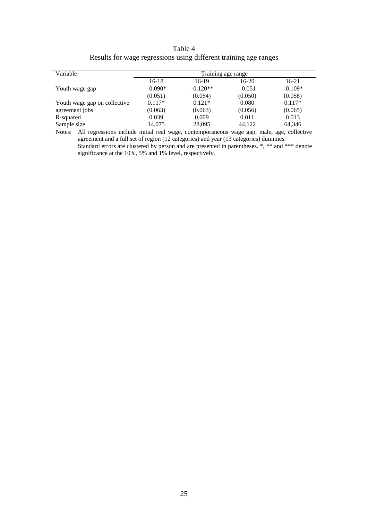| Table 4                                                          |
|------------------------------------------------------------------|
| Results for wage regressions using different training age ranges |

| Variable                     | Training age range |            |          |           |
|------------------------------|--------------------|------------|----------|-----------|
|                              | $16-18$            | 16-19      | $16-20$  | 16-21     |
| Youth wage gap               | $-0.090*$          | $-0.120**$ | $-0.051$ | $-0.109*$ |
|                              | (0.051)            | (0.054)    | (0.050)  | (0.058)   |
| Youth wage gap on collective | $0.117*$           | $0.121*$   | 0.080    | $0.117*$  |
| agreement jobs               | (0.063)            | (0.063)    | (0.056)  | (0.065)   |
| R-squared                    | 0.039              | 0.009      | 0.011    | 0.013     |
| Sample size                  | 14.075             | 28,095     | 44.122   | 64,346    |

Notes: All regressions include initial real wage, contemporaneous wage gap, male, age, collective agreement and a full set of region (12 categories) and year (13 categories) dummies. Standard errors are clustered by person and are presented in parentheses. \*, \*\* and \*\*\* denote significance at the 10%, 5% and 1% level, respectively.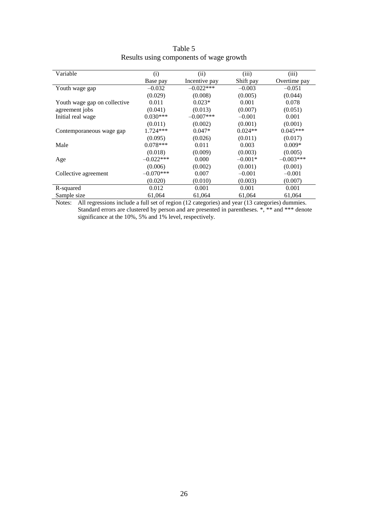| Variable                     | (i)         | (ii)          | (iii)     | (iii)        |
|------------------------------|-------------|---------------|-----------|--------------|
|                              | Base pay    | Incentive pay | Shift pay | Overtime pay |
| Youth wage gap               | $-0.032$    | $-0.022$ ***  | $-0.003$  | $-0.051$     |
|                              | (0.029)     | (0.008)       | (0.005)   | (0.044)      |
| Youth wage gap on collective | 0.011       | $0.023*$      | 0.001     | 0.078        |
| agreement jobs               | (0.041)     | (0.013)       | (0.007)   | (0.051)      |
| Initial real wage            | $0.030***$  | $-0.007***$   | $-0.001$  | 0.001        |
|                              | (0.011)     | (0.002)       | (0.001)   | (0.001)      |
| Contemporaneous wage gap     | $1.724***$  | $0.047*$      | $0.024**$ | $0.045***$   |
|                              | (0.095)     | (0.026)       | (0.011)   | (0.017)      |
| Male                         | $0.078***$  | 0.011         | 0.003     | $0.009*$     |
|                              | (0.018)     | (0.009)       | (0.003)   | (0.005)      |
| Age                          | $-0.022***$ | 0.000         | $-0.001*$ | $-0.003***$  |
|                              | (0.006)     | (0.002)       | (0.001)   | (0.001)      |
| Collective agreement         | $-0.070***$ | 0.007         | $-0.001$  | $-0.001$     |
|                              | (0.020)     | (0.010)       | (0.003)   | (0.007)      |
| R-squared                    | 0.012       | 0.001         | 0.001     | 0.001        |
| Sample size                  | 61,064      | 61,064        | 61,064    | 61,064       |

| Table 5                                 |  |
|-----------------------------------------|--|
| Results using components of wage growth |  |

Notes: All regressions include a full set of region (12 categories) and year (13 categories) dummies. Standard errors are clustered by person and are presented in parentheses. \*, \*\* and \*\*\* denote significance at the 10%, 5% and 1% level, respectively.